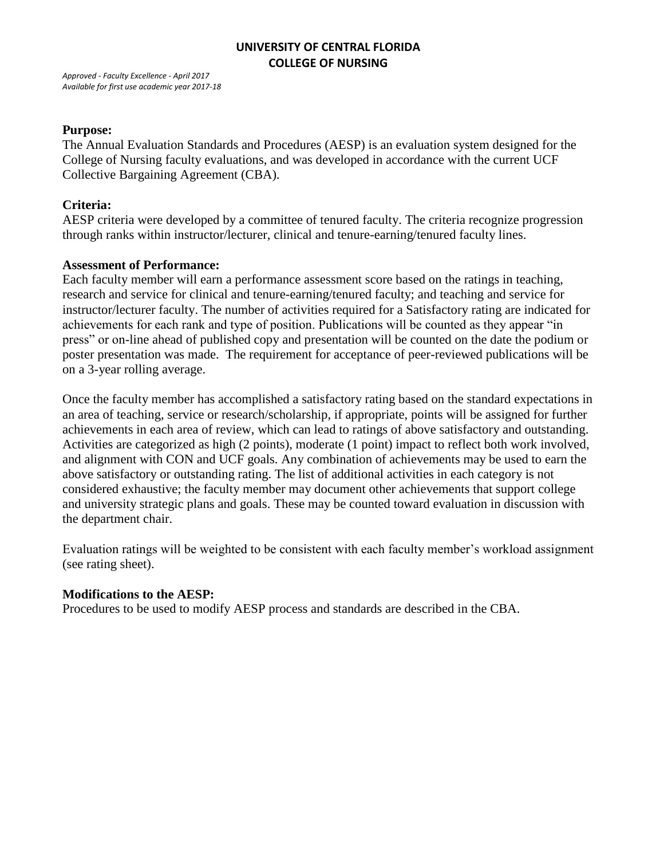*Approved - Faculty Excellence - April 2017 Available for first use academic year 2017-18* 

#### **Purpose:**

The Annual Evaluation Standards and Procedures (AESP) is an evaluation system designed for the College of Nursing faculty evaluations, and was developed in accordance with the current UCF Collective Bargaining Agreement (CBA).

#### **Criteria:**

AESP criteria were developed by a committee of tenured faculty. The criteria recognize progression through ranks within instructor/lecturer, clinical and tenure-earning/tenured faculty lines.

#### **Assessment of Performance:**

Each faculty member will earn a performance assessment score based on the ratings in teaching, research and service for clinical and tenure-earning/tenured faculty; and teaching and service for instructor/lecturer faculty. The number of activities required for a Satisfactory rating are indicated for achievements for each rank and type of position. Publications will be counted as they appear "in press" or on-line ahead of published copy and presentation will be counted on the date the podium or poster presentation was made. The requirement for acceptance of peer-reviewed publications will be on a 3-year rolling average.

Once the faculty member has accomplished a satisfactory rating based on the standard expectations in an area of teaching, service or research/scholarship, if appropriate, points will be assigned for further achievements in each area of review, which can lead to ratings of above satisfactory and outstanding. Activities are categorized as high (2 points), moderate (1 point) impact to reflect both work involved, and alignment with CON and UCF goals. Any combination of achievements may be used to earn the above satisfactory or outstanding rating. The list of additional activities in each category is not considered exhaustive; the faculty member may document other achievements that support college and university strategic plans and goals. These may be counted toward evaluation in discussion with the department chair.

Evaluation ratings will be weighted to be consistent with each faculty member's workload assignment (see rating sheet).

#### **Modifications to the AESP:**

Procedures to be used to modify AESP process and standards are described in the CBA.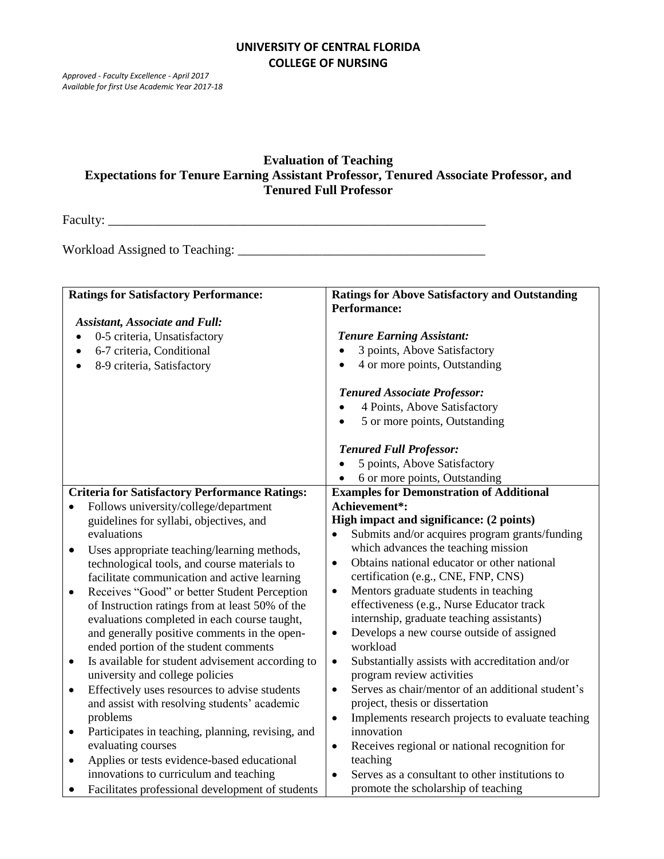*Approved - Faculty Excellence - April 2017 Available for first Use Academic Year 2017-18*

# **Evaluation of Teaching Expectations for Tenure Earning Assistant Professor, Tenured Associate Professor, and Tenured Full Professor**

Faculty: \_\_\_\_\_\_\_\_\_\_\_\_\_\_\_\_\_\_\_\_\_\_\_\_\_\_\_\_\_\_\_\_\_\_\_\_\_\_\_\_\_\_\_\_\_\_\_\_\_\_\_\_\_\_\_\_\_\_

Workload Assigned to Teaching: \_\_\_\_\_\_\_\_\_\_\_\_\_\_\_\_\_\_\_\_\_\_\_\_\_\_\_\_\_\_\_\_\_\_\_\_\_\_

|                                       | <b>Ratings for Satisfactory Performance:</b>          | <b>Ratings for Above Satisfactory and Outstanding</b>          |
|---------------------------------------|-------------------------------------------------------|----------------------------------------------------------------|
|                                       |                                                       | <b>Performance:</b>                                            |
| <b>Assistant, Associate and Full:</b> |                                                       |                                                                |
| $\bullet$                             | 0-5 criteria, Unsatisfactory                          | <b>Tenure Earning Assistant:</b>                               |
| $\bullet$                             | 6-7 criteria, Conditional                             | 3 points, Above Satisfactory<br>$\bullet$                      |
| $\bullet$                             | 8-9 criteria, Satisfactory                            | 4 or more points, Outstanding<br>$\bullet$                     |
|                                       |                                                       | <b>Tenured Associate Professor:</b>                            |
|                                       |                                                       | 4 Points, Above Satisfactory                                   |
|                                       |                                                       | 5 or more points, Outstanding<br>$\bullet$                     |
|                                       |                                                       |                                                                |
|                                       |                                                       | <b>Tenured Full Professor:</b>                                 |
|                                       |                                                       | 5 points, Above Satisfactory                                   |
|                                       |                                                       | 6 or more points, Outstanding                                  |
|                                       | <b>Criteria for Satisfactory Performance Ratings:</b> | <b>Examples for Demonstration of Additional</b>                |
| $\bullet$                             | Follows university/college/department                 | Achievement*:                                                  |
|                                       | guidelines for syllabi, objectives, and               | High impact and significance: (2 points)                       |
|                                       | evaluations                                           | Submits and/or acquires program grants/funding<br>$\bullet$    |
| $\bullet$                             | Uses appropriate teaching/learning methods,           | which advances the teaching mission                            |
|                                       | technological tools, and course materials to          | Obtains national educator or other national<br>$\bullet$       |
|                                       | facilitate communication and active learning          | certification (e.g., CNE, FNP, CNS)                            |
| ٠                                     | Receives "Good" or better Student Perception          | Mentors graduate students in teaching<br>$\bullet$             |
|                                       | of Instruction ratings from at least 50% of the       | effectiveness (e.g., Nurse Educator track                      |
|                                       | evaluations completed in each course taught,          | internship, graduate teaching assistants)                      |
|                                       | and generally positive comments in the open-          | Develops a new course outside of assigned<br>$\bullet$         |
|                                       | ended portion of the student comments                 | workload                                                       |
| $\bullet$                             | Is available for student advisement according to      | Substantially assists with accreditation and/or<br>$\bullet$   |
|                                       | university and college policies                       | program review activities                                      |
| $\bullet$                             | Effectively uses resources to advise students         | Serves as chair/mentor of an additional student's<br>$\bullet$ |
|                                       | and assist with resolving students' academic          | project, thesis or dissertation                                |
|                                       | problems                                              | Implements research projects to evaluate teaching<br>$\bullet$ |
| ٠                                     | Participates in teaching, planning, revising, and     | innovation                                                     |
|                                       | evaluating courses                                    | Receives regional or national recognition for<br>$\bullet$     |
| $\bullet$                             | Applies or tests evidence-based educational           | teaching                                                       |
|                                       | innovations to curriculum and teaching                | Serves as a consultant to other institutions to                |
| $\bullet$                             | Facilitates professional development of students      | promote the scholarship of teaching                            |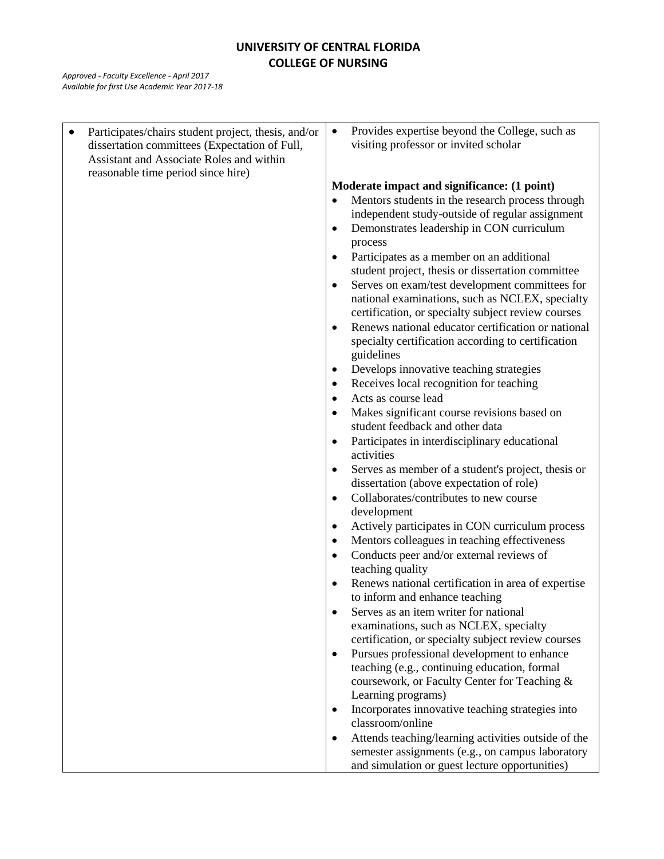| Participates/chairs student project, thesis, and/or | Provides expertise beyond the College, such as<br>$\bullet$                                     |
|-----------------------------------------------------|-------------------------------------------------------------------------------------------------|
| dissertation committees (Expectation of Full,       | visiting professor or invited scholar                                                           |
| Assistant and Associate Roles and within            |                                                                                                 |
| reasonable time period since hire)                  |                                                                                                 |
|                                                     | Moderate impact and significance: (1 point)<br>Mentors students in the research process through |
|                                                     | independent study-outside of regular assignment                                                 |
|                                                     | Demonstrates leadership in CON curriculum<br>$\bullet$                                          |
|                                                     | process                                                                                         |
|                                                     | Participates as a member on an additional<br>$\bullet$                                          |
|                                                     | student project, thesis or dissertation committee                                               |
|                                                     | Serves on exam/test development committees for<br>٠                                             |
|                                                     | national examinations, such as NCLEX, specialty                                                 |
|                                                     | certification, or specialty subject review courses                                              |
|                                                     | Renews national educator certification or national<br>$\bullet$                                 |
|                                                     | specialty certification according to certification                                              |
|                                                     | guidelines                                                                                      |
|                                                     | Develops innovative teaching strategies<br>٠                                                    |
|                                                     | Receives local recognition for teaching<br>٠                                                    |
|                                                     | Acts as course lead<br>$\bullet$                                                                |
|                                                     | Makes significant course revisions based on<br>$\bullet$                                        |
|                                                     | student feedback and other data                                                                 |
|                                                     | Participates in interdisciplinary educational<br>$\bullet$<br>activities                        |
|                                                     | Serves as member of a student's project, thesis or<br>$\bullet$                                 |
|                                                     | dissertation (above expectation of role)                                                        |
|                                                     | Collaborates/contributes to new course<br>$\bullet$                                             |
|                                                     | development                                                                                     |
|                                                     | Actively participates in CON curriculum process<br>٠                                            |
|                                                     | Mentors colleagues in teaching effectiveness<br>$\bullet$                                       |
|                                                     | Conducts peer and/or external reviews of<br>$\bullet$<br>teaching quality                       |
|                                                     | Renews national certification in area of expertise                                              |
|                                                     | to inform and enhance teaching                                                                  |
|                                                     | Serves as an item writer for national                                                           |
|                                                     | examinations, such as NCLEX, specialty                                                          |
|                                                     | certification, or specialty subject review courses                                              |
|                                                     | Pursues professional development to enhance<br>$\bullet$                                        |
|                                                     | teaching (e.g., continuing education, formal                                                    |
|                                                     | coursework, or Faculty Center for Teaching &                                                    |
|                                                     | Learning programs)                                                                              |
|                                                     | Incorporates innovative teaching strategies into                                                |
|                                                     | classroom/online                                                                                |
|                                                     | Attends teaching/learning activities outside of the<br>$\bullet$                                |
|                                                     | semester assignments (e.g., on campus laboratory                                                |
|                                                     | and simulation or guest lecture opportunities)                                                  |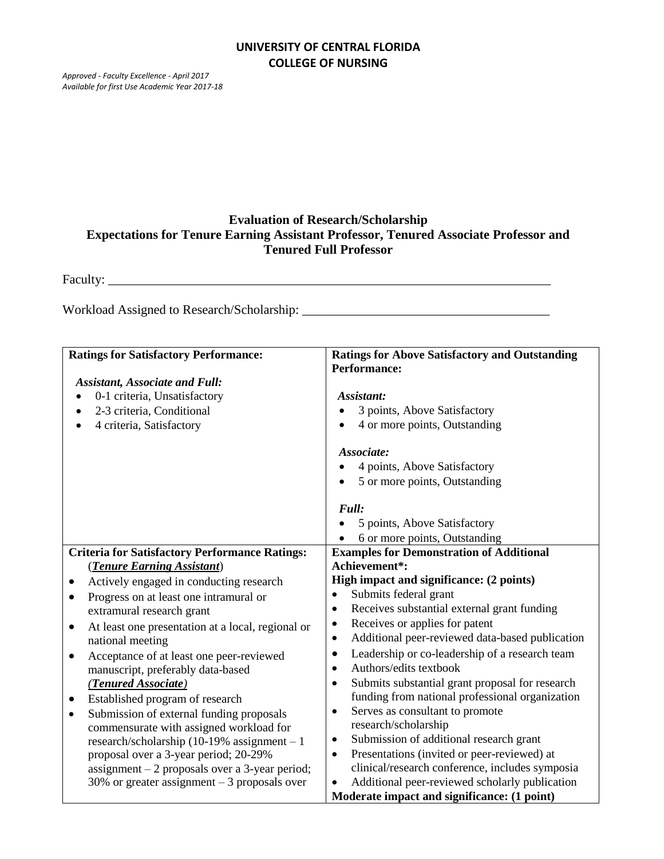*Approved - Faculty Excellence - April 2017 Available for first Use Academic Year 2017-18*

# **Evaluation of Research/Scholarship Expectations for Tenure Earning Assistant Professor, Tenured Associate Professor and Tenured Full Professor**

Faculty: \_\_\_\_\_\_\_\_\_\_\_\_\_\_\_\_\_\_\_\_\_\_\_\_\_\_\_\_\_\_\_\_\_\_\_\_\_\_\_\_\_\_\_\_\_\_\_\_\_\_\_\_\_\_\_\_\_\_\_\_\_\_\_\_\_\_\_\_

Workload Assigned to Research/Scholarship: \_\_\_\_\_\_\_\_\_\_\_\_\_\_\_\_\_\_\_\_\_\_\_\_\_\_\_\_\_\_\_\_\_\_\_\_\_\_

| <b>Ratings for Satisfactory Performance:</b>                   | <b>Ratings for Above Satisfactory and Outstanding</b><br><b>Performance:</b> |
|----------------------------------------------------------------|------------------------------------------------------------------------------|
| <b>Assistant, Associate and Full:</b>                          |                                                                              |
| 0-1 criteria, Unsatisfactory<br>$\bullet$                      | Assistant:                                                                   |
| 2-3 criteria, Conditional                                      | 3 points, Above Satisfactory                                                 |
| 4 criteria, Satisfactory                                       | 4 or more points, Outstanding                                                |
|                                                                | Associate:                                                                   |
|                                                                | 4 points, Above Satisfactory                                                 |
|                                                                | 5 or more points, Outstanding                                                |
|                                                                |                                                                              |
|                                                                | Full:                                                                        |
|                                                                | 5 points, Above Satisfactory                                                 |
|                                                                | 6 or more points, Outstanding                                                |
| <b>Criteria for Satisfactory Performance Ratings:</b>          | <b>Examples for Demonstration of Additional</b>                              |
| (Tenure Earning Assistant)                                     | Achievement*:                                                                |
| Actively engaged in conducting research                        | High impact and significance: (2 points)                                     |
| Progress on at least one intramural or<br>$\bullet$            | Submits federal grant<br>$\bullet$                                           |
| extramural research grant                                      | Receives substantial external grant funding<br>$\bullet$                     |
| At least one presentation at a local, regional or<br>$\bullet$ | Receives or applies for patent<br>$\bullet$                                  |
| national meeting                                               | Additional peer-reviewed data-based publication<br>$\bullet$                 |
| Acceptance of at least one peer-reviewed<br>$\bullet$          | Leadership or co-leadership of a research team<br>$\bullet$                  |
| manuscript, preferably data-based                              | Authors/edits textbook<br>$\bullet$                                          |
| (Tenured Associate)                                            | Submits substantial grant proposal for research<br>$\bullet$                 |
| Established program of research<br>$\bullet$                   | funding from national professional organization                              |
| Submission of external funding proposals<br>$\bullet$          | Serves as consultant to promote<br>$\bullet$                                 |
| commensurate with assigned workload for                        | research/scholarship                                                         |
| research/scholarship (10-19% assignment $-1$                   | Submission of additional research grant<br>$\bullet$                         |
| proposal over a 3-year period; 20-29%                          | Presentations (invited or peer-reviewed) at<br>$\bullet$                     |
| assignment $-2$ proposals over a 3-year period;                | clinical/research conference, includes symposia                              |
| 30% or greater assignment $-3$ proposals over                  | Additional peer-reviewed scholarly publication                               |
|                                                                | Moderate impact and significance: (1 point)                                  |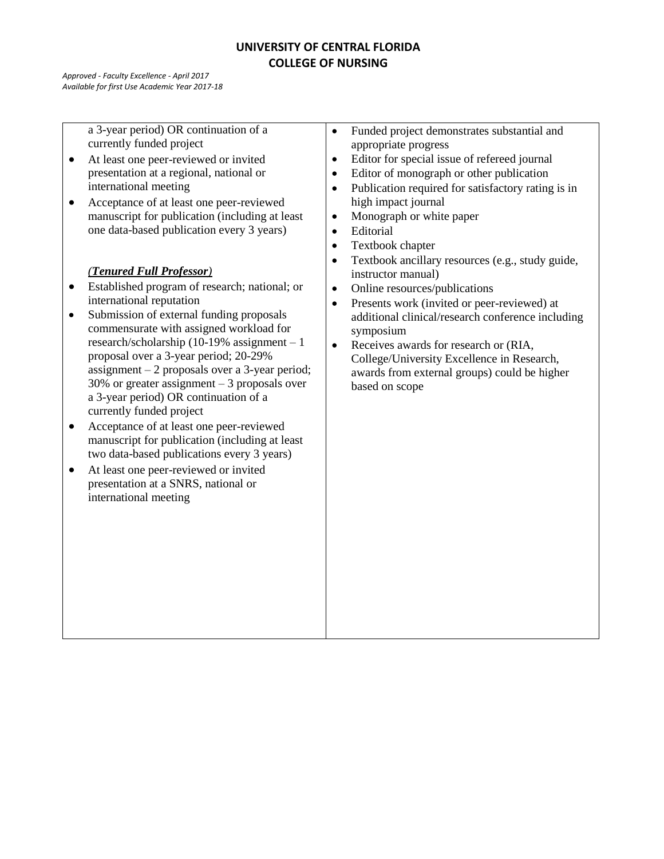*Approved - Faculty Excellence - April 2017 Available for first Use Academic Year 2017-18*

> a 3-year period) OR continuation of a currently funded project

- At least one peer-reviewed or invited presentation at a regional, national or international meeting
- Acceptance of at least one peer-reviewed manuscript for publication (including at least one data-based publication every 3 years)

# *(Tenured Full Professor)*

- Established program of research; national; or international reputation
- Submission of external funding proposals commensurate with assigned workload for research/scholarship (10-19% assignment – 1 proposal over a 3-year period; 20-29% assignment – 2 proposals over a 3-year period; 30% or greater assignment – 3 proposals over a 3-year period) OR continuation of a currently funded project
- Acceptance of at least one peer-reviewed manuscript for publication (including at least two data-based publications every 3 years)
- At least one peer-reviewed or invited presentation at a SNRS, national or international meeting
- Funded project demonstrates substantial and appropriate progress
- Editor for special issue of refereed journal
- Editor of monograph or other publication
- Publication required for satisfactory rating is in high impact journal
- Monograph or white paper
- Editorial
- Textbook chapter
- Textbook ancillary resources (e.g., study guide, instructor manual)
- Online resources/publications
- Presents work (invited or peer-reviewed) at additional clinical/research conference including symposium
- Receives awards for research or (RIA, College/University Excellence in Research, awards from external groups) could be higher based on scope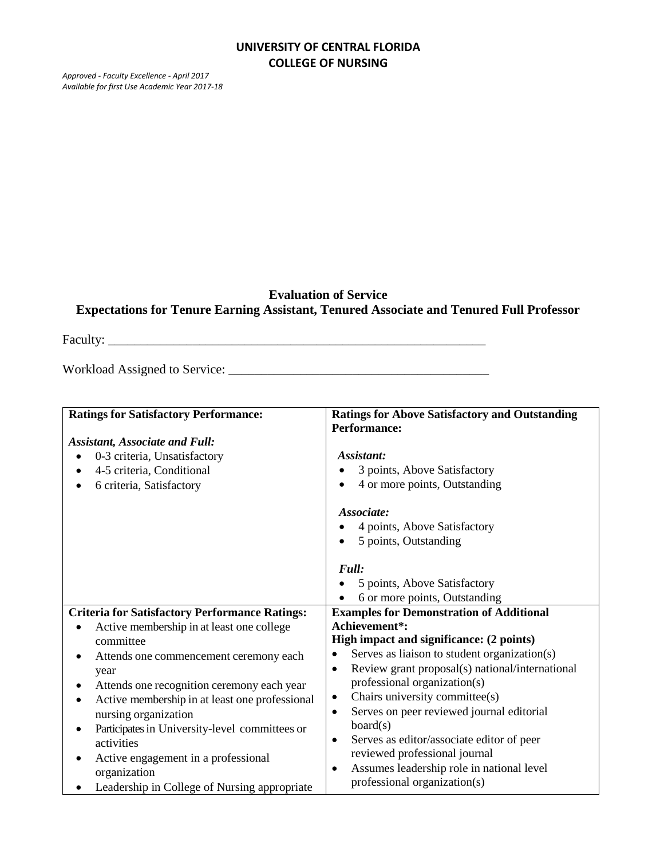*Approved - Faculty Excellence - April 2017 Available for first Use Academic Year 2017-18*

# **Evaluation of Service Expectations for Tenure Earning Assistant, Tenured Associate and Tenured Full Professor**

Faculty: \_\_\_\_\_\_\_\_\_\_\_\_\_\_\_\_\_\_\_\_\_\_\_\_\_\_\_\_\_\_\_\_\_\_\_\_\_\_\_\_\_\_\_\_\_\_\_\_\_\_\_\_\_\_\_\_\_\_

Workload Assigned to Service: \_\_\_\_\_\_\_\_\_\_\_\_\_\_\_\_\_\_\_\_\_\_\_\_\_\_\_\_\_\_\_\_\_\_\_\_\_\_\_\_

| <b>Ratings for Satisfactory Performance:</b>                                                        | <b>Ratings for Above Satisfactory and Outstanding</b><br><b>Performance:</b>                                                                 |
|-----------------------------------------------------------------------------------------------------|----------------------------------------------------------------------------------------------------------------------------------------------|
| <b>Assistant, Associate and Full:</b>                                                               |                                                                                                                                              |
| 0-3 criteria, Unsatisfactory<br>4-5 criteria, Conditional<br>6 criteria, Satisfactory               | Assistant:<br>3 points, Above Satisfactory<br>4 or more points, Outstanding                                                                  |
|                                                                                                     | Associate:<br>4 points, Above Satisfactory<br>5 points, Outstanding<br>$\bullet$                                                             |
|                                                                                                     | Full:<br>5 points, Above Satisfactory<br>6 or more points, Outstanding                                                                       |
| <b>Criteria for Satisfactory Performance Ratings:</b>                                               | <b>Examples for Demonstration of Additional</b>                                                                                              |
| Active membership in at least one college<br>committee                                              | Achievement*:<br>High impact and significance: (2 points)                                                                                    |
| Attends one commencement ceremony each<br>year<br>Attends one recognition ceremony each year        | Serves as liaison to student organization(s)<br>Review grant proposal(s) national/international<br>$\bullet$<br>professional organization(s) |
| Active membership in at least one professional<br>٠<br>nursing organization                         | Chairs university committee(s)<br>$\bullet$<br>Serves on peer reviewed journal editorial<br>$\bullet$                                        |
| Participates in University-level committees or<br>activities<br>Active engagement in a professional | board(s)<br>Serves as editor/associate editor of peer<br>$\bullet$<br>reviewed professional journal                                          |
| organization<br>Leadership in College of Nursing appropriate                                        | Assumes leadership role in national level<br>$\bullet$<br>professional organization(s)                                                       |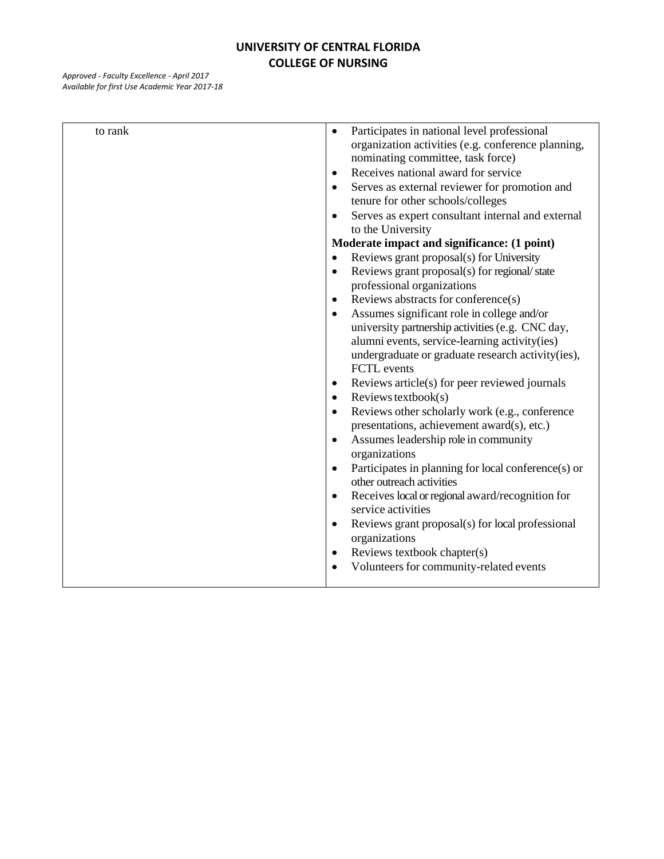| to rank | Participates in national level professional<br>$\bullet$<br>organization activities (e.g. conference planning,<br>nominating committee, task force)<br>Receives national award for service<br>$\bullet$<br>Serves as external reviewer for promotion and<br>$\bullet$<br>tenure for other schools/colleges<br>Serves as expert consultant internal and external<br>$\bullet$<br>to the University<br>Moderate impact and significance: (1 point)<br>Reviews grant proposal(s) for University<br>$\bullet$<br>Reviews grant proposal(s) for regional/state<br>$\bullet$<br>professional organizations<br>Reviews abstracts for conference(s)<br>$\bullet$<br>Assumes significant role in college and/or<br>$\bullet$<br>university partnership activities (e.g. CNC day,<br>alumni events, service-learning activity(ies)<br>undergraduate or graduate research activity(ies),<br>FCTL events<br>Reviews article(s) for peer reviewed journals<br>$\bullet$<br>Reviews textbook(s)<br>$\bullet$<br>Reviews other scholarly work (e.g., conference<br>$\bullet$<br>presentations, achievement award(s), etc.)<br>Assumes leadership role in community<br>$\bullet$<br>organizations<br>Participates in planning for local conference(s) or<br>$\bullet$<br>other outreach activities<br>Receives local or regional award/recognition for<br>$\bullet$<br>service activities<br>Reviews grant proposal(s) for local professional<br>$\bullet$<br>organizations<br>Reviews textbook chapter(s)<br>$\bullet$<br>Volunteers for community-related events<br>$\bullet$ |
|---------|-----------------------------------------------------------------------------------------------------------------------------------------------------------------------------------------------------------------------------------------------------------------------------------------------------------------------------------------------------------------------------------------------------------------------------------------------------------------------------------------------------------------------------------------------------------------------------------------------------------------------------------------------------------------------------------------------------------------------------------------------------------------------------------------------------------------------------------------------------------------------------------------------------------------------------------------------------------------------------------------------------------------------------------------------------------------------------------------------------------------------------------------------------------------------------------------------------------------------------------------------------------------------------------------------------------------------------------------------------------------------------------------------------------------------------------------------------------------------------------------------------------------------------------------------------------------|
|         |                                                                                                                                                                                                                                                                                                                                                                                                                                                                                                                                                                                                                                                                                                                                                                                                                                                                                                                                                                                                                                                                                                                                                                                                                                                                                                                                                                                                                                                                                                                                                                 |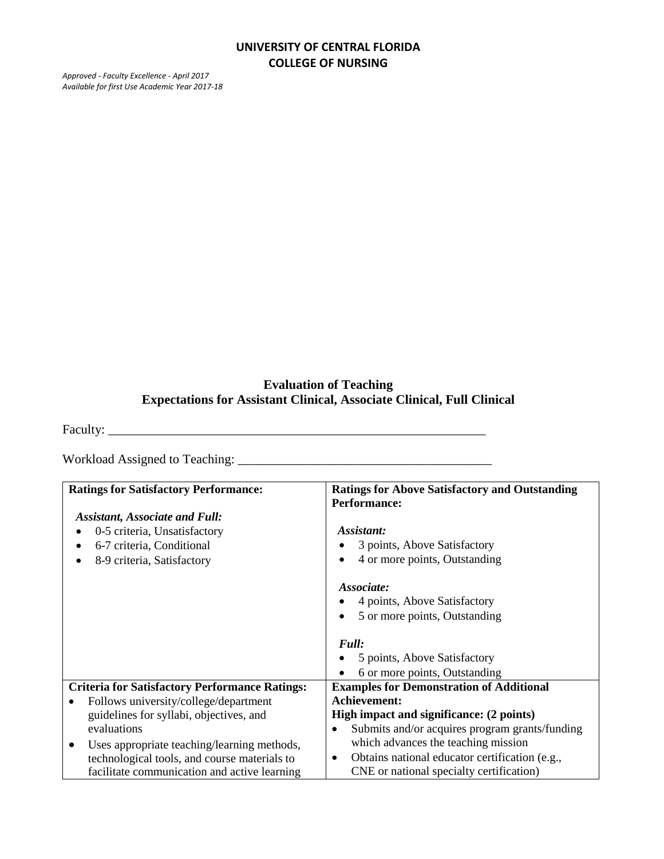*Approved - Faculty Excellence - April 2017 Available for first Use Academic Year 2017-18*

# **Evaluation of Teaching Expectations for Assistant Clinical, Associate Clinical, Full Clinical**

Faculty: \_\_\_\_\_\_\_\_\_\_\_\_\_\_\_\_\_\_\_\_\_\_\_\_\_\_\_\_\_\_\_\_\_\_\_\_\_\_\_\_\_\_\_\_\_\_\_\_\_\_\_\_\_\_\_\_\_\_

Workload Assigned to Teaching: \_\_\_\_\_\_\_\_\_\_\_\_\_\_\_\_\_\_\_\_\_\_\_\_\_\_\_\_\_\_\_\_\_\_\_\_\_\_\_

| <b>Ratings for Satisfactory Performance:</b>          | <b>Ratings for Above Satisfactory and Outstanding</b>       |
|-------------------------------------------------------|-------------------------------------------------------------|
|                                                       | <b>Performance:</b>                                         |
| <b>Assistant, Associate and Full:</b>                 |                                                             |
| 0-5 criteria, Unsatisfactory                          | Assistant:                                                  |
| 6-7 criteria, Conditional                             | 3 points, Above Satisfactory                                |
| 8-9 criteria, Satisfactory                            | 4 or more points, Outstanding                               |
|                                                       | Associate:                                                  |
|                                                       | 4 points, Above Satisfactory                                |
|                                                       | 5 or more points, Outstanding<br>$\bullet$                  |
|                                                       |                                                             |
|                                                       | Full:                                                       |
|                                                       | 5 points, Above Satisfactory                                |
|                                                       | 6 or more points, Outstanding                               |
| <b>Criteria for Satisfactory Performance Ratings:</b> | <b>Examples for Demonstration of Additional</b>             |
| Follows university/college/department                 | Achievement:                                                |
| guidelines for syllabi, objectives, and               | High impact and significance: (2 points)                    |
| evaluations                                           | Submits and/or acquires program grants/funding<br>$\bullet$ |
| Uses appropriate teaching/learning methods,           | which advances the teaching mission                         |
| technological tools, and course materials to          | Obtains national educator certification (e.g.,<br>٠         |
| facilitate communication and active learning          | CNE or national specialty certification)                    |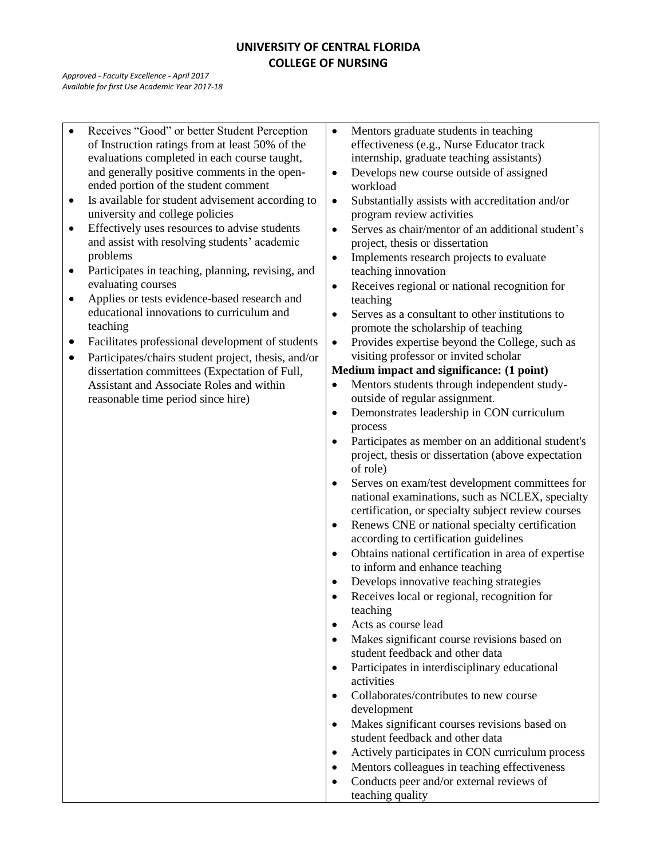*Approved - Faculty Excellence - April 2017 Available for first Use Academic Year 2017-18*

 Receives "Good" or better Student Perception of Instruction ratings from at least 50% of the evaluations completed in each course taught, and generally positive comments in the openended portion of the student comment Is available for student advisement according to university and college policies Effectively uses resources to advise students and assist with resolving students' academic problems • Participates in teaching, planning, revising, and evaluating courses • Applies or tests evidence-based research and educational innovations to curriculum and teaching Facilitates professional development of students • Participates/chairs student project, thesis, and/or dissertation committees (Expectation of Full, Assistant and Associate Roles and within reasonable time period since hire) • Mentors graduate students in teaching effectiveness (e.g., Nurse Educator track internship, graduate teaching assistants) • Develops new course outside of assigned workload • Substantially assists with accreditation and/or program review activities • Serves as chair/mentor of an additional student's project, thesis or dissertation • Implements research projects to evaluate teaching innovation Receives regional or national recognition for teaching Serves as a consultant to other institutions to promote the scholarship of teaching • Provides expertise beyond the College, such as visiting professor or invited scholar **Medium impact and significance: (1 point)** • Mentors students through independent studyoutside of regular assignment. Demonstrates leadership in CON curriculum process Participates as member on an additional student's project, thesis or dissertation (above expectation of role) Serves on exam/test development committees for national examinations, such as NCLEX, specialty certification, or specialty subject review courses • Renews CNE or national specialty certification according to certification guidelines Obtains national certification in area of expertise to inform and enhance teaching • Develops innovative teaching strategies • Receives local or regional, recognition for teaching Acts as course lead • Makes significant course revisions based on student feedback and other data • Participates in interdisciplinary educational activities • Collaborates/contributes to new course development • Makes significant courses revisions based on student feedback and other data Actively participates in CON curriculum process • Mentors colleagues in teaching effectiveness • Conducts peer and/or external reviews of teaching quality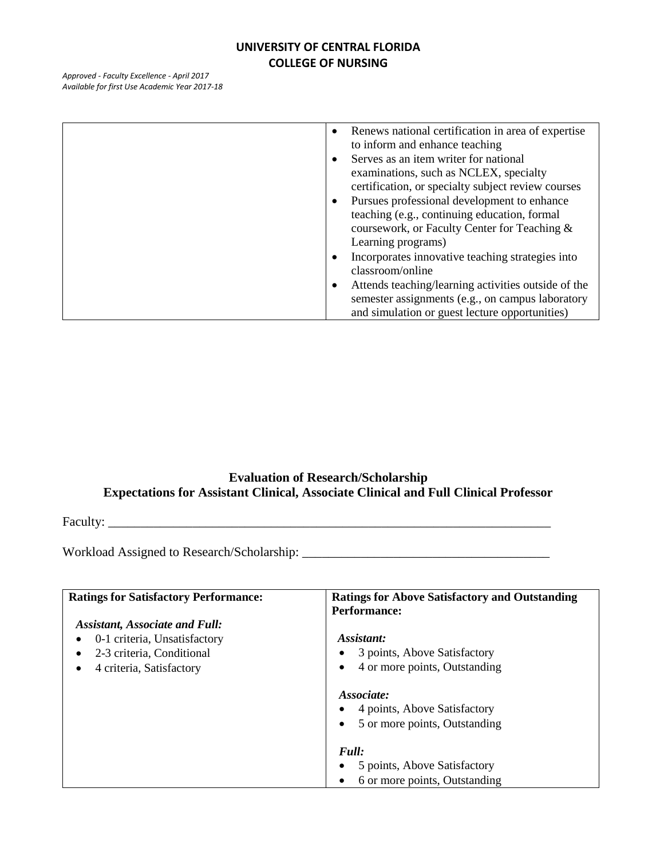*Approved - Faculty Excellence - April 2017 Available for first Use Academic Year 2017-18*

| Renews national certification in area of expertise<br>to inform and enhance teaching<br>Serves as an item writer for national<br>examinations, such as NCLEX, specialty<br>certification, or specialty subject review courses<br>Pursues professional development to enhance |
|------------------------------------------------------------------------------------------------------------------------------------------------------------------------------------------------------------------------------------------------------------------------------|
| teaching (e.g., continuing education, formal<br>coursework, or Faculty Center for Teaching &<br>Learning programs)                                                                                                                                                           |
| Incorporates innovative teaching strategies into<br>classroom/online                                                                                                                                                                                                         |
| Attends teaching/learning activities outside of the<br>٠<br>semester assignments (e.g., on campus laboratory<br>and simulation or guest lecture opportunities)                                                                                                               |

# **Evaluation of Research/Scholarship Expectations for Assistant Clinical, Associate Clinical and Full Clinical Professor**

Faculty: \_\_\_\_\_\_\_\_\_\_\_\_\_\_\_\_\_\_\_\_\_\_\_\_\_\_\_\_\_\_\_\_\_\_\_\_\_\_\_\_\_\_\_\_\_\_\_\_\_\_\_\_\_\_\_\_\_\_\_\_\_\_\_\_\_\_\_\_

Workload Assigned to Research/Scholarship: \_\_\_\_\_\_\_\_\_\_\_\_\_\_\_\_\_\_\_\_\_\_\_\_\_\_\_\_\_\_\_\_\_\_\_\_\_\_

| <b>Ratings for Satisfactory Performance:</b> | <b>Ratings for Above Satisfactory and Outstanding</b><br><b>Performance:</b> |
|----------------------------------------------|------------------------------------------------------------------------------|
| <b>Assistant, Associate and Full:</b>        |                                                                              |
| 0-1 criteria, Unsatisfactory                 | Assistant:                                                                   |
| 2-3 criteria, Conditional                    | 3 points, Above Satisfactory                                                 |
| 4 criteria, Satisfactory                     | 4 or more points, Outstanding                                                |
|                                              | Associate:                                                                   |
|                                              | 4 points, Above Satisfactory                                                 |
|                                              | 5 or more points, Outstanding                                                |
|                                              | Full:                                                                        |
|                                              | 5 points, Above Satisfactory                                                 |
|                                              | 6 or more points, Outstanding                                                |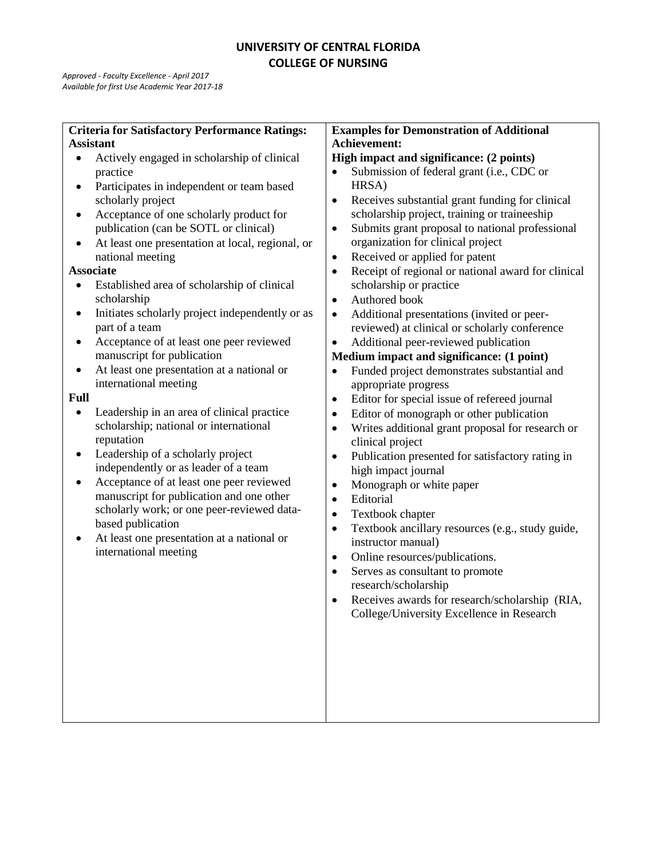| <b>Criteria for Satisfactory Performance Ratings:</b><br><b>Examples for Demonstration of Additional</b>                                   |  |
|--------------------------------------------------------------------------------------------------------------------------------------------|--|
| Achievement:<br><b>Assistant</b>                                                                                                           |  |
| Actively engaged in scholarship of clinical<br>High impact and significance: (2 points)<br>$\bullet$                                       |  |
| Submission of federal grant (i.e., CDC or<br>practice<br>$\bullet$                                                                         |  |
| HRSA)<br>Participates in independent or team based<br>٠                                                                                    |  |
| scholarly project<br>Receives substantial grant funding for clinical<br>$\bullet$                                                          |  |
| scholarship project, training or traineeship<br>Acceptance of one scholarly product for<br>$\bullet$                                       |  |
| Submits grant proposal to national professional<br>publication (can be SOTL or clinical)<br>$\bullet$                                      |  |
| organization for clinical project<br>At least one presentation at local, regional, or<br>٠                                                 |  |
| Received or applied for patent<br>national meeting<br>$\bullet$                                                                            |  |
| <b>Associate</b><br>Receipt of regional or national award for clinical<br>$\bullet$                                                        |  |
| scholarship or practice<br>Established area of scholarship of clinical<br>٠                                                                |  |
| scholarship<br>Authored book<br>$\bullet$                                                                                                  |  |
| Initiates scholarly project independently or as<br>Additional presentations (invited or peer-<br>$\bullet$<br>$\bullet$                    |  |
| part of a team<br>reviewed) at clinical or scholarly conference                                                                            |  |
| Acceptance of at least one peer reviewed<br>Additional peer-reviewed publication<br>٠<br>$\bullet$                                         |  |
| manuscript for publication<br>Medium impact and significance: (1 point)                                                                    |  |
| At least one presentation at a national or<br>Funded project demonstrates substantial and<br>٠<br>$\bullet$                                |  |
| international meeting<br>appropriate progress                                                                                              |  |
| <b>Full</b><br>Editor for special issue of refereed journal<br>$\bullet$                                                                   |  |
| Leadership in an area of clinical practice<br>Editor of monograph or other publication<br>$\bullet$<br>$\bullet$                           |  |
| scholarship; national or international<br>Writes additional grant proposal for research or<br>$\bullet$                                    |  |
| reputation<br>clinical project                                                                                                             |  |
| Leadership of a scholarly project<br>٠<br>Publication presented for satisfactory rating in<br>$\bullet$                                    |  |
| independently or as leader of a team<br>high impact journal                                                                                |  |
| Acceptance of at least one peer reviewed<br>$\bullet$<br>Monograph or white paper<br>$\bullet$<br>manuscript for publication and one other |  |
| Editorial<br>$\bullet$<br>scholarly work; or one peer-reviewed data-                                                                       |  |
| Textbook chapter<br>$\bullet$<br>based publication                                                                                         |  |
| Textbook ancillary resources (e.g., study guide,<br>$\bullet$<br>At least one presentation at a national or                                |  |
| instructor manual)<br>international meeting                                                                                                |  |
| Online resources/publications.<br>$\bullet$                                                                                                |  |
| Serves as consultant to promote<br>$\bullet$                                                                                               |  |
| research/scholarship                                                                                                                       |  |
| Receives awards for research/scholarship (RIA,<br>$\bullet$                                                                                |  |
| College/University Excellence in Research                                                                                                  |  |
|                                                                                                                                            |  |
|                                                                                                                                            |  |
|                                                                                                                                            |  |
|                                                                                                                                            |  |
|                                                                                                                                            |  |
|                                                                                                                                            |  |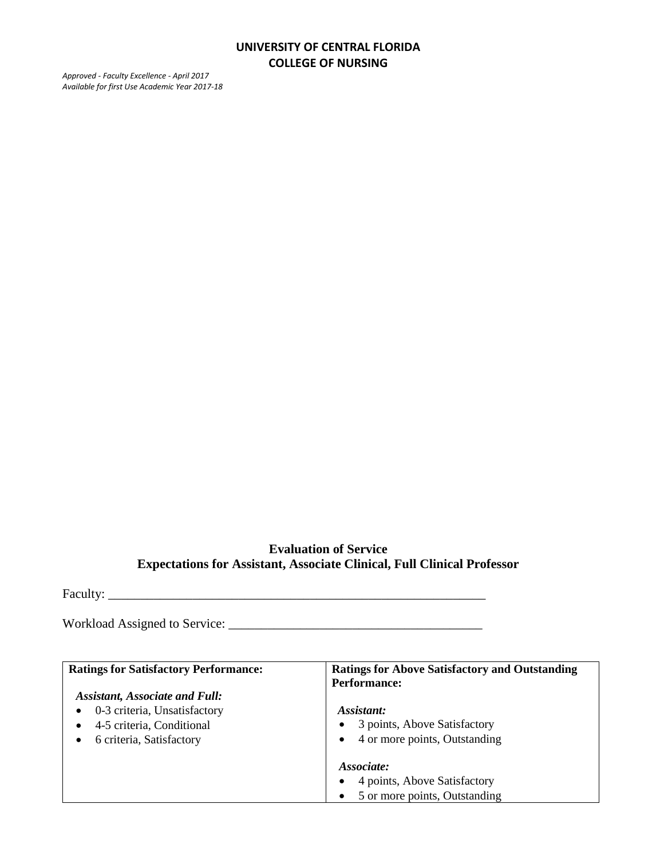*Approved - Faculty Excellence - April 2017 Available for first Use Academic Year 2017-18*

# **Evaluation of Service Expectations for Assistant, Associate Clinical, Full Clinical Professor**

Faculty: \_\_\_\_\_\_\_\_\_\_\_\_\_\_\_\_\_\_\_\_\_\_\_\_\_\_\_\_\_\_\_\_\_\_\_\_\_\_\_\_\_\_\_\_\_\_\_\_\_\_\_\_\_\_\_\_\_\_

Workload Assigned to Service: \_\_\_\_\_\_\_\_\_\_\_\_\_\_\_\_\_\_\_\_\_\_\_\_\_\_\_\_\_\_\_\_\_\_\_\_\_\_\_

| <b>Ratings for Satisfactory Performance:</b> | <b>Ratings for Above Satisfactory and Outstanding</b><br><b>Performance:</b> |
|----------------------------------------------|------------------------------------------------------------------------------|
| <b>Assistant, Associate and Full:</b>        |                                                                              |
| 0-3 criteria, Unsatisfactory                 | Assistant:                                                                   |
| 4-5 criteria, Conditional                    | 3 points, Above Satisfactory<br>٠                                            |
| 6 criteria, Satisfactory                     | 4 or more points, Outstanding<br>$\bullet$                                   |
|                                              | Associate:                                                                   |
|                                              | 4 points, Above Satisfactory<br>$\bullet$                                    |
|                                              | 5 or more points, Outstanding                                                |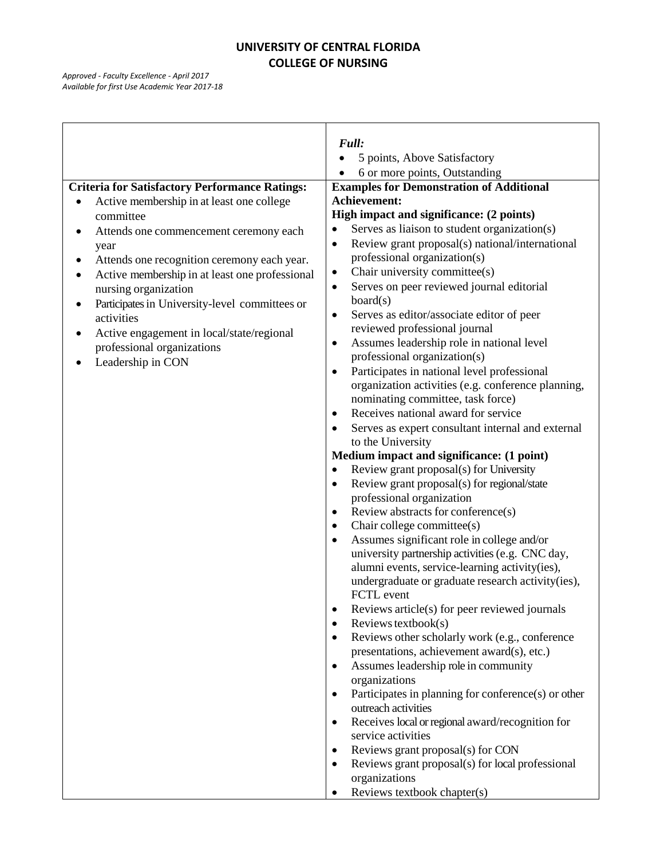|                                                       | Full:                                                        |
|-------------------------------------------------------|--------------------------------------------------------------|
|                                                       | 5 points, Above Satisfactory                                 |
|                                                       | 6 or more points, Outstanding                                |
| <b>Criteria for Satisfactory Performance Ratings:</b> | <b>Examples for Demonstration of Additional</b>              |
| Active membership in at least one college             | Achievement:                                                 |
| committee                                             | High impact and significance: (2 points)                     |
| Attends one commencement ceremony each<br>٠           | Serves as liaison to student organization(s)<br>$\bullet$    |
| year                                                  | Review grant proposal(s) national/international<br>$\bullet$ |
| Attends one recognition ceremony each year.           | professional organization(s)                                 |
| Active membership in at least one professional        | Chair university committee(s)<br>٠                           |
| nursing organization                                  | Serves on peer reviewed journal editorial                    |
| Participates in University-level committees or        | board(s)                                                     |
| activities                                            | Serves as editor/associate editor of peer<br>$\bullet$       |
| Active engagement in local/state/regional<br>٠        | reviewed professional journal                                |
| professional organizations                            | Assumes leadership role in national level<br>$\bullet$       |
| Leadership in CON                                     | professional organization(s)                                 |
|                                                       | Participates in national level professional<br>$\bullet$     |
|                                                       | organization activities (e.g. conference planning,           |
|                                                       | nominating committee, task force)                            |
|                                                       | Receives national award for service<br>$\bullet$             |
|                                                       | Serves as expert consultant internal and external            |
|                                                       | to the University                                            |
|                                                       | Medium impact and significance: (1 point)                    |
|                                                       | Review grant proposal(s) for University<br>$\bullet$         |
|                                                       | Review grant proposal(s) for regional/state<br>$\bullet$     |
|                                                       | professional organization                                    |
|                                                       | Review abstracts for conference(s)<br>$\bullet$              |
|                                                       | Chair college committee(s)<br>$\bullet$                      |
|                                                       | Assumes significant role in college and/or                   |
|                                                       | university partnership activities (e.g. CNC day,             |
|                                                       | alumni events, service-learning activity(ies),               |
|                                                       | undergraduate or graduate research activity(ies),            |
|                                                       | FCTL event                                                   |
|                                                       | Reviews article(s) for peer reviewed journals                |
|                                                       | Reviews textbook $(s)$<br>٠                                  |
|                                                       | Reviews other scholarly work (e.g., conference               |
|                                                       | presentations, achievement award(s), etc.)                   |
|                                                       | Assumes leadership role in community<br>$\bullet$            |
|                                                       | organizations                                                |
|                                                       | Participates in planning for conference(s) or other          |
|                                                       | outreach activities                                          |
|                                                       | Receives local or regional award/recognition for             |
|                                                       | service activities                                           |
|                                                       | Reviews grant proposal(s) for CON                            |
|                                                       | Reviews grant proposal(s) for local professional             |
|                                                       | organizations                                                |
|                                                       | Reviews textbook chapter(s)                                  |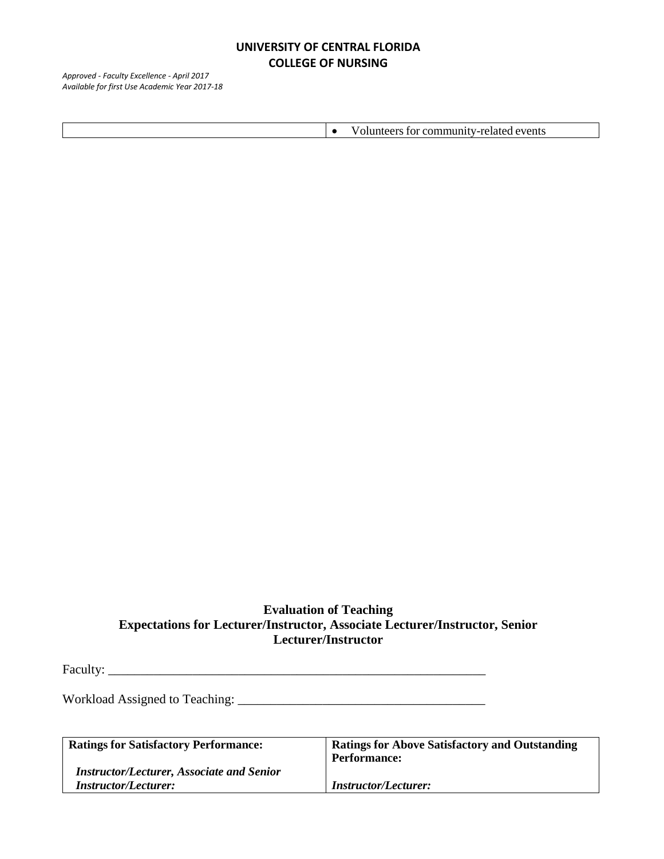*Approved - Faculty Excellence - April 2017 Available for first Use Academic Year 2017-18*

Volunteers for community-related events

# **Evaluation of Teaching Expectations for Lecturer/Instructor, Associate Lecturer/Instructor, Senior Lecturer/Instructor**

Faculty: \_\_\_\_\_\_\_\_\_\_\_\_\_\_\_\_\_\_\_\_\_\_\_\_\_\_\_\_\_\_\_\_\_\_\_\_\_\_\_\_\_\_\_\_\_\_\_\_\_\_\_\_\_\_\_\_\_\_

Workload Assigned to Teaching: \_\_\_\_\_\_\_\_\_\_\_\_\_\_\_\_\_\_\_\_\_\_\_\_\_\_\_\_\_\_\_\_\_\_\_\_\_\_

| <b>Ratings for Satisfactory Performance:</b>     | <b>Ratings for Above Satisfactory and Outstanding</b> |
|--------------------------------------------------|-------------------------------------------------------|
|                                                  | <b>Performance:</b>                                   |
| <b>Instructor/Lecturer, Associate and Senior</b> |                                                       |
| <b>Instructor/Lecturer:</b>                      | <b>Instructor/Lecturer:</b>                           |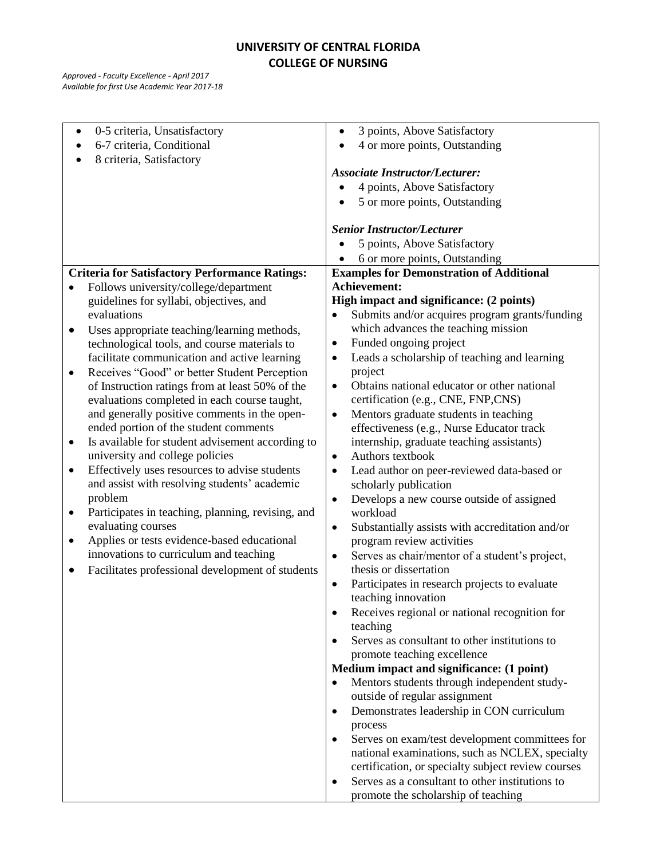| 0-5 criteria, Unsatisfactory<br>$\bullet$                                                         | 3 points, Above Satisfactory<br>$\bullet$                                                 |
|---------------------------------------------------------------------------------------------------|-------------------------------------------------------------------------------------------|
| 6-7 criteria, Conditional                                                                         | 4 or more points, Outstanding                                                             |
| 8 criteria, Satisfactory                                                                          |                                                                                           |
|                                                                                                   | <b>Associate Instructor/Lecturer:</b>                                                     |
|                                                                                                   | 4 points, Above Satisfactory                                                              |
|                                                                                                   | 5 or more points, Outstanding                                                             |
|                                                                                                   |                                                                                           |
|                                                                                                   | <b>Senior Instructor/Lecturer</b>                                                         |
|                                                                                                   | 5 points, Above Satisfactory                                                              |
|                                                                                                   | 6 or more points, Outstanding                                                             |
| <b>Criteria for Satisfactory Performance Ratings:</b>                                             | <b>Examples for Demonstration of Additional</b>                                           |
| Follows university/college/department                                                             | Achievement:                                                                              |
| guidelines for syllabi, objectives, and                                                           | High impact and significance: (2 points)                                                  |
| evaluations                                                                                       | Submits and/or acquires program grants/funding<br>$\bullet$                               |
| Uses appropriate teaching/learning methods,<br>٠                                                  | which advances the teaching mission                                                       |
| technological tools, and course materials to                                                      | Funded ongoing project<br>٠                                                               |
| facilitate communication and active learning<br>Receives "Good" or better Student Perception<br>٠ | Leads a scholarship of teaching and learning<br>$\bullet$<br>project                      |
| of Instruction ratings from at least 50% of the                                                   | Obtains national educator or other national<br>$\bullet$                                  |
| evaluations completed in each course taught,                                                      | certification (e.g., CNE, FNP,CNS)                                                        |
| and generally positive comments in the open-                                                      | Mentors graduate students in teaching<br>$\bullet$                                        |
| ended portion of the student comments                                                             | effectiveness (e.g., Nurse Educator track                                                 |
| Is available for student advisement according to<br>$\bullet$                                     | internship, graduate teaching assistants)                                                 |
| university and college policies                                                                   | Authors textbook<br>$\bullet$                                                             |
| Effectively uses resources to advise students<br>$\bullet$                                        | Lead author on peer-reviewed data-based or<br>$\bullet$                                   |
| and assist with resolving students' academic<br>problem                                           | scholarly publication                                                                     |
| Participates in teaching, planning, revising, and<br>٠                                            | Develops a new course outside of assigned<br>$\bullet$<br>workload                        |
| evaluating courses<br>Applies or tests evidence-based educational<br>$\bullet$                    | Substantially assists with accreditation and/or<br>$\bullet$<br>program review activities |
| innovations to curriculum and teaching                                                            | Serves as chair/mentor of a student's project,<br>$\bullet$                               |
| Facilitates professional development of students                                                  | thesis or dissertation                                                                    |
|                                                                                                   | Participates in research projects to evaluate<br>$\bullet$                                |
|                                                                                                   | teaching innovation                                                                       |
|                                                                                                   | Receives regional or national recognition for                                             |
|                                                                                                   | teaching                                                                                  |
|                                                                                                   | Serves as consultant to other institutions to                                             |
|                                                                                                   | promote teaching excellence                                                               |
|                                                                                                   | Medium impact and significance: (1 point)                                                 |
|                                                                                                   | Mentors students through independent study-<br>$\bullet$                                  |
|                                                                                                   | outside of regular assignment                                                             |
|                                                                                                   | Demonstrates leadership in CON curriculum<br>$\bullet$                                    |
|                                                                                                   | process<br>Serves on exam/test development committees for<br>$\bullet$                    |
|                                                                                                   | national examinations, such as NCLEX, specialty                                           |
|                                                                                                   | certification, or specialty subject review courses                                        |
|                                                                                                   | Serves as a consultant to other institutions to<br>$\bullet$                              |
|                                                                                                   |                                                                                           |
|                                                                                                   | promote the scholarship of teaching                                                       |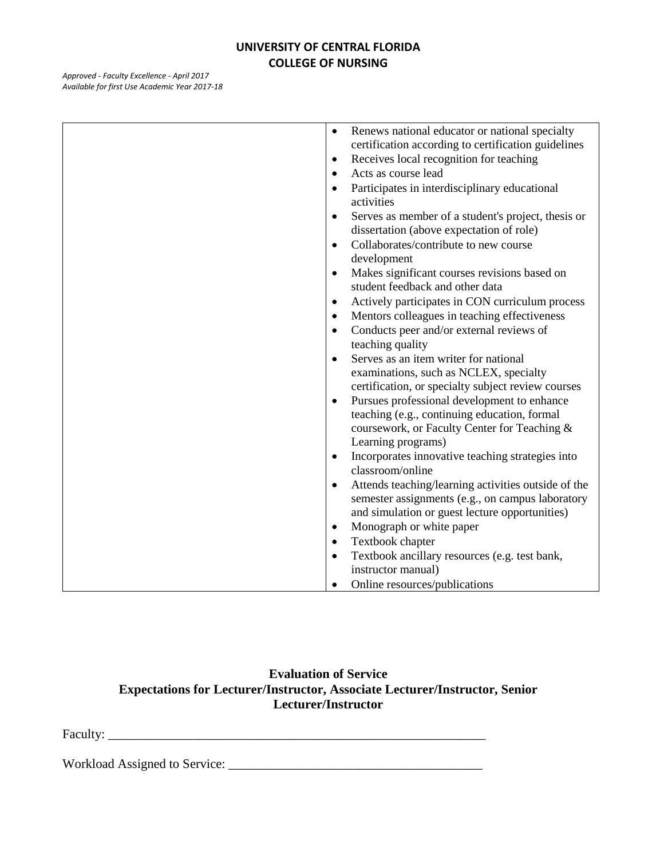*Approved - Faculty Excellence - April 2017 Available for first Use Academic Year 2017-18*

| Renews national educator or national specialty<br>$\bullet$      |
|------------------------------------------------------------------|
| certification according to certification guidelines              |
| Receives local recognition for teaching<br>$\bullet$             |
| Acts as course lead<br>$\bullet$                                 |
| Participates in interdisciplinary educational<br>$\bullet$       |
| activities                                                       |
| Serves as member of a student's project, thesis or<br>$\bullet$  |
| dissertation (above expectation of role)                         |
| Collaborates/contribute to new course<br>$\bullet$               |
| development                                                      |
| Makes significant courses revisions based on<br>$\bullet$        |
| student feedback and other data                                  |
| Actively participates in CON curriculum process<br>$\bullet$     |
| Mentors colleagues in teaching effectiveness<br>$\bullet$        |
| Conducts peer and/or external reviews of<br>$\bullet$            |
| teaching quality                                                 |
| Serves as an item writer for national<br>$\bullet$               |
| examinations, such as NCLEX, specialty                           |
| certification, or specialty subject review courses               |
| Pursues professional development to enhance<br>$\bullet$         |
| teaching (e.g., continuing education, formal                     |
| coursework, or Faculty Center for Teaching &                     |
| Learning programs)                                               |
| Incorporates innovative teaching strategies into<br>$\bullet$    |
| classroom/online                                                 |
| Attends teaching/learning activities outside of the<br>$\bullet$ |
| semester assignments (e.g., on campus laboratory                 |
| and simulation or guest lecture opportunities)                   |
| Monograph or white paper<br>$\bullet$                            |
| Textbook chapter<br>$\bullet$                                    |
| Textbook ancillary resources (e.g. test bank,<br>$\bullet$       |
| instructor manual)                                               |
| Online resources/publications                                    |

### **Evaluation of Service Expectations for Lecturer/Instructor, Associate Lecturer/Instructor, Senior Lecturer/Instructor**

Faculty: \_\_\_\_\_\_\_\_\_\_\_\_\_\_\_\_\_\_\_\_\_\_\_\_\_\_\_\_\_\_\_\_\_\_\_\_\_\_\_\_\_\_\_\_\_\_\_\_\_\_\_\_\_\_\_\_\_\_

Workload Assigned to Service: \_\_\_\_\_\_\_\_\_\_\_\_\_\_\_\_\_\_\_\_\_\_\_\_\_\_\_\_\_\_\_\_\_\_\_\_\_\_\_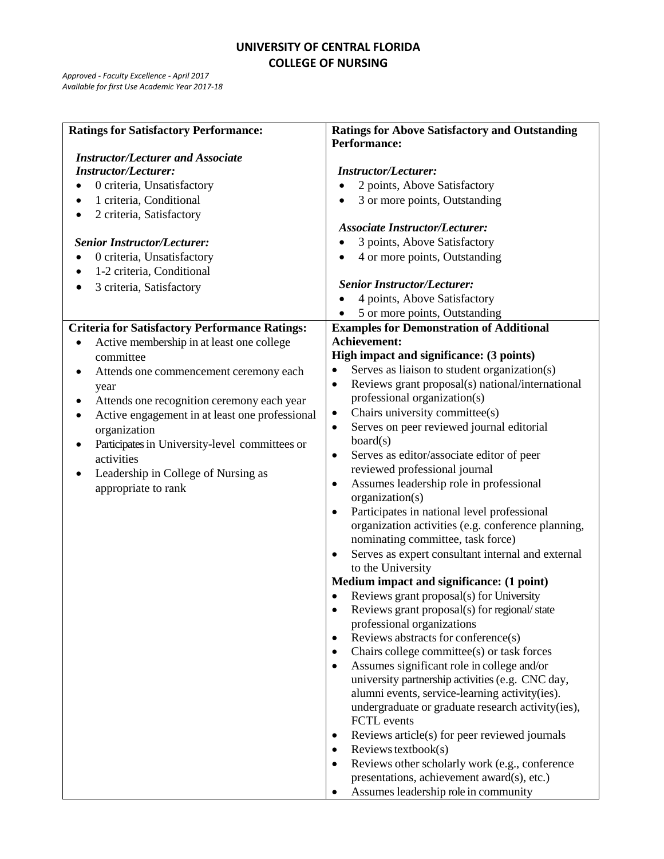| <b>Ratings for Satisfactory Performance:</b>             | <b>Ratings for Above Satisfactory and Outstanding</b>                                  |
|----------------------------------------------------------|----------------------------------------------------------------------------------------|
| <b>Instructor/Lecturer and Associate</b>                 | Performance:                                                                           |
| <b>Instructor/Lecturer:</b>                              | <b>Instructor/Lecturer:</b>                                                            |
| 0 criteria, Unsatisfactory                               | 2 points, Above Satisfactory                                                           |
| 1 criteria, Conditional                                  | 3 or more points, Outstanding                                                          |
| 2 criteria, Satisfactory<br>٠                            |                                                                                        |
|                                                          | <b>Associate Instructor/Lecturer:</b>                                                  |
| <b>Senior Instructor/Lecturer:</b>                       | 3 points, Above Satisfactory                                                           |
| 0 criteria, Unsatisfactory                               | 4 or more points, Outstanding                                                          |
| 1-2 criteria, Conditional                                |                                                                                        |
| 3 criteria, Satisfactory<br>٠                            | <b>Senior Instructor/Lecturer:</b>                                                     |
|                                                          | 4 points, Above Satisfactory                                                           |
|                                                          | 5 or more points, Outstanding                                                          |
| <b>Criteria for Satisfactory Performance Ratings:</b>    | <b>Examples for Demonstration of Additional</b>                                        |
| Active membership in at least one college                | Achievement:<br>High impact and significance: (3 points)                               |
| committee                                                | Serves as liaison to student organization(s)<br>$\bullet$                              |
| Attends one commencement ceremony each<br>٠              | Reviews grant proposal(s) national/international<br>$\bullet$                          |
| year<br>Attends one recognition ceremony each year       | professional organization(s)                                                           |
| ٠<br>Active engagement in at least one professional<br>٠ | Chairs university committee(s)<br>٠                                                    |
| organization                                             | Serves on peer reviewed journal editorial<br>$\bullet$                                 |
| Participates in University-level committees or           | board(s)                                                                               |
| activities                                               | Serves as editor/associate editor of peer<br>$\bullet$                                 |
| Leadership in College of Nursing as                      | reviewed professional journal                                                          |
| appropriate to rank                                      | Assumes leadership role in professional<br>$\bullet$                                   |
|                                                          | organization(s)                                                                        |
|                                                          | Participates in national level professional<br>$\bullet$                               |
|                                                          | organization activities (e.g. conference planning,                                     |
|                                                          | nominating committee, task force)<br>Serves as expert consultant internal and external |
|                                                          | $\bullet$<br>to the University                                                         |
|                                                          | Medium impact and significance: (1 point)                                              |
|                                                          | Reviews grant proposal(s) for University                                               |
|                                                          | Reviews grant proposal(s) for regional/state                                           |
|                                                          | professional organizations                                                             |
|                                                          | Reviews abstracts for conference(s)<br>$\bullet$                                       |
|                                                          | Chairs college committee(s) or task forces<br>$\bullet$                                |
|                                                          | Assumes significant role in college and/or<br>$\bullet$                                |
|                                                          | university partnership activities (e.g. CNC day,                                       |
|                                                          | alumni events, service-learning activity(ies).                                         |
|                                                          | undergraduate or graduate research activity(ies),<br>FCTL events                       |
|                                                          | Reviews article(s) for peer reviewed journals<br>$\bullet$                             |
|                                                          | Reviews textbook $(s)$<br>$\bullet$                                                    |
|                                                          | Reviews other scholarly work (e.g., conference<br>$\bullet$                            |
|                                                          | presentations, achievement award(s), etc.)                                             |
|                                                          | Assumes leadership role in community                                                   |